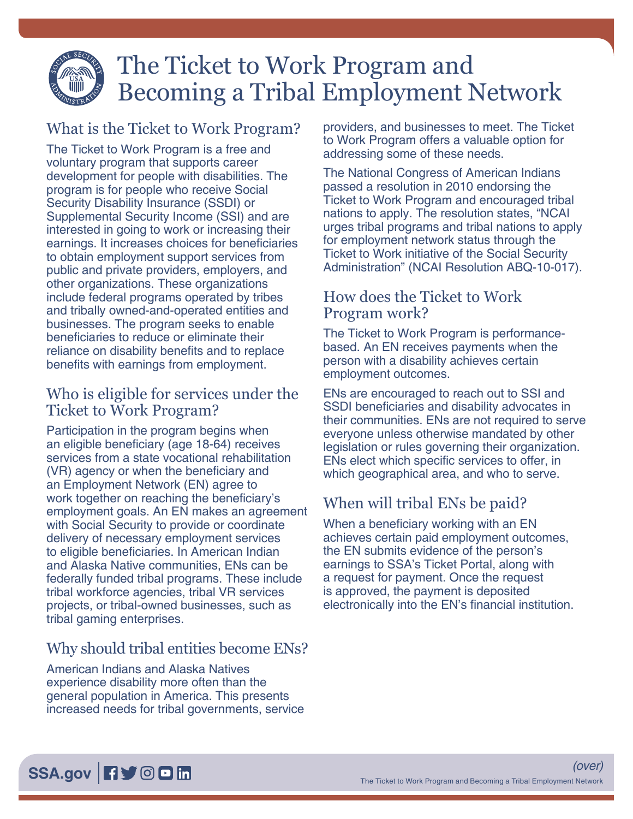

# The Ticket to Work Program and Becoming a Tribal Employment Network

## What is the Ticket to Work Program?

The Ticket to Work Program is a free and voluntary program that supports career development for people with disabilities. The program is for people who receive Social Security Disability Insurance (SSDI) or Supplemental Security Income (SSI) and are interested in going to work or increasing their earnings. It increases choices for beneficiaries to obtain employment support services from public and private providers, employers, and other organizations. These organizations include federal programs operated by tribes and tribally owned-and-operated entities and businesses. The program seeks to enable beneficiaries to reduce or eliminate their reliance on disability benefits and to replace benefits with earnings from employment.

#### Who is eligible for services under the Ticket to Work Program?

Participation in the program begins when an eligible beneficiary (age 18-64) receives services from a state vocational rehabilitation (VR) agency or when the beneficiary and an Employment Network (EN) agree to work together on reaching the beneficiary's employment goals. An EN makes an agreement with Social Security to provide or coordinate delivery of necessary employment services to eligible beneficiaries. In American Indian and Alaska Native communities, ENs can be federally funded tribal programs. These include tribal workforce agencies, tribal VR services projects, or tribal-owned businesses, such as tribal gaming enterprises.

# Why should tribal entities become ENs?

American Indians and Alaska Natives experience disability more often than the general population in America. This presents increased needs for tribal governments, service providers, and businesses to meet. The Ticket to Work Program offers a valuable option for addressing some of these needs.

[The National Congress of American Indians](https://ncai.org/) passed a resolution in 2010 endorsing the Ticket to Work Program and encouraged tribal nations to apply. The resolution states, "NCAI urges tribal programs and tribal nations to apply for employment network status through the Ticket to Work initiative of the Social Security Administration" (NCAI Resolution ABQ-10-017).

#### How does the Ticket to Work Program work?

The Ticket to Work Program is performancebased. An EN receives payments when the person with a disability achieves certain employment outcomes.

ENs are encouraged to reach out to SSI and SSDI beneficiaries and disability advocates in their communities. ENs are not required to serve everyone unless otherwise mandated by other legislation or rules governing their organization. ENs elect which specific services to offer, in which geographical area, and who to serve.

# When will tribal ENs be paid?

When a beneficiary working with an EN achieves certain paid employment outcomes, the EN submits evidence of the person's earnings to SSA's Ticket Portal, along with a request for payment. Once the request is approved, the payment is deposited electronically into the EN's financial institution.